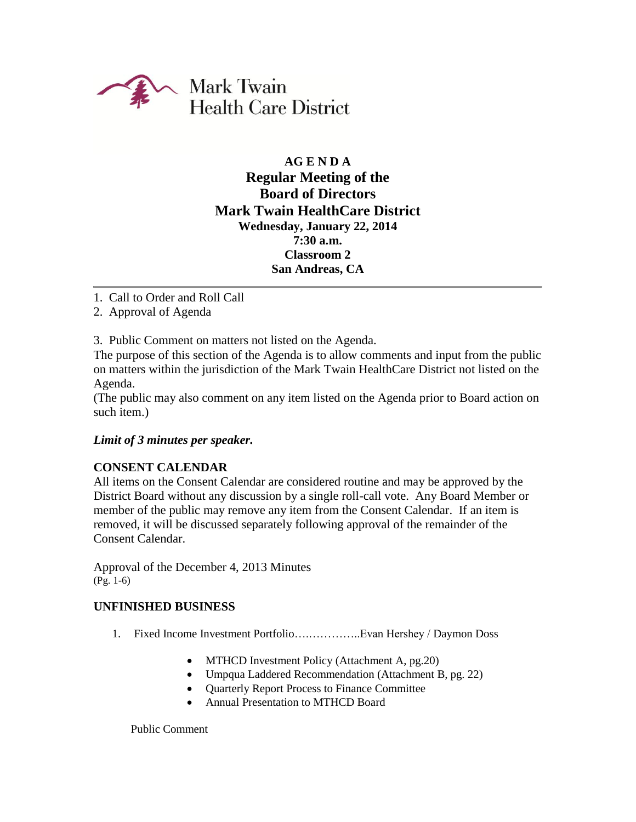

# **AG E N D A Regular Meeting of the Board of Directors Mark Twain HealthCare District Wednesday, January 22, 2014 7:30 a.m. Classroom 2 San Andreas, CA**

- 1. Call to Order and Roll Call
- 2. Approval of Agenda

3. Public Comment on matters not listed on the Agenda.

The purpose of this section of the Agenda is to allow comments and input from the public on matters within the jurisdiction of the Mark Twain HealthCare District not listed on the Agenda.

(The public may also comment on any item listed on the Agenda prior to Board action on such item.)

### *Limit of 3 minutes per speaker.*

## **CONSENT CALENDAR**

All items on the Consent Calendar are considered routine and may be approved by the District Board without any discussion by a single roll-call vote. Any Board Member or member of the public may remove any item from the Consent Calendar. If an item is removed, it will be discussed separately following approval of the remainder of the Consent Calendar.

Approval of the December 4, 2013 Minutes (Pg. 1-6)

### **UNFINISHED BUSINESS**

- 1. Fixed Income Investment Portfolio….…………..Evan Hershey / Daymon Doss
	- MTHCD Investment Policy (Attachment A, pg.20)
	- Umpqua Laddered Recommendation (Attachment B, pg. 22)
	- Ouarterly Report Process to Finance Committee
	- Annual Presentation to MTHCD Board

Public Comment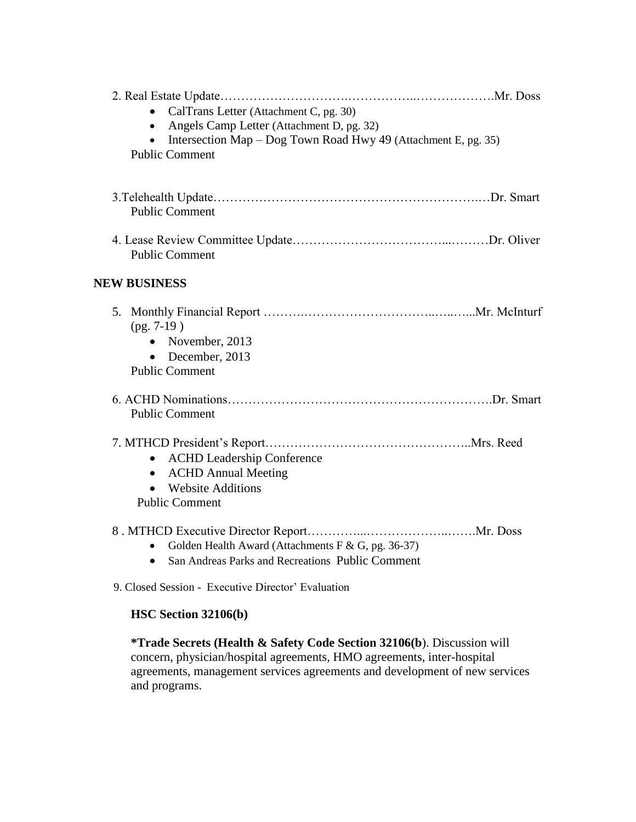| CalTrans Letter (Attachment C, pg. 30)<br>Angels Camp Letter (Attachment D, pg. 32)<br>$\bullet$<br>Intersection Map – Dog Town Road Hwy 49 (Attachment E, pg. 35)<br>$\bullet$ |  |
|---------------------------------------------------------------------------------------------------------------------------------------------------------------------------------|--|
| <b>Public Comment</b>                                                                                                                                                           |  |
| <b>Public Comment</b>                                                                                                                                                           |  |
| <b>Public Comment</b>                                                                                                                                                           |  |
| <b>NEW BUSINESS</b>                                                                                                                                                             |  |
| $(pg. 7-19)$<br>• November, $2013$<br>• December, $2013$<br><b>Public Comment</b>                                                                                               |  |
| <b>Public Comment</b>                                                                                                                                                           |  |
| • ACHD Leadership Conference<br><b>ACHD Annual Meeting</b><br>$\bullet$<br><b>Website Additions</b><br><b>Public Comment</b>                                                    |  |
| Golden Health Award (Attachments F & G, pg. 36-37)<br>San Andreas Parks and Recreations Public Comment<br>$\bullet$                                                             |  |

9. Closed Session - Executive Director' Evaluation

# **HSC Section 32106(b)**

**\*Trade Secrets (Health & Safety Code Section 32106(b**). Discussion will concern, physician/hospital agreements, HMO agreements, inter-hospital agreements, management services agreements and development of new services and programs.